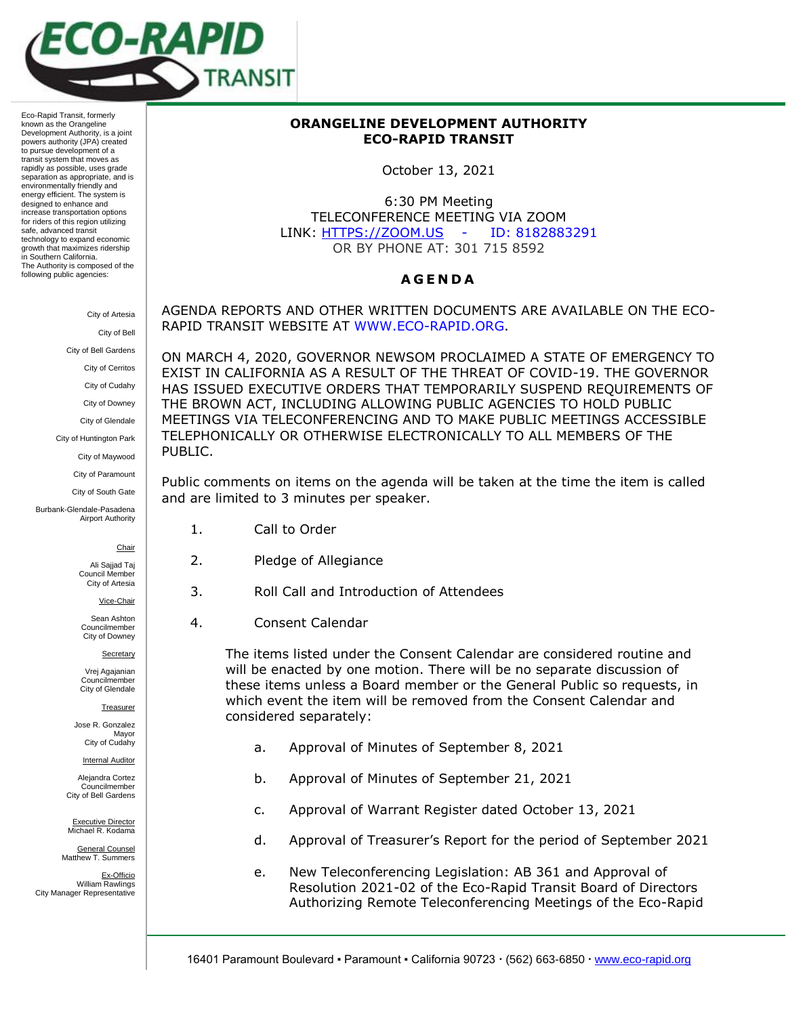

Eco-Rapid Transit, formerly known as the Orangeline Development Authority, is a joint powers authority (JPA) created to pursue development of a transit system that moves as rapidly as possible, uses grade separation as appropriate, and is environmentally friendly and energy efficient. The system is designed to enhance and increase transportation options for riders of this region utilizing safe, advanced transit technology to expand economic growth that maximizes ridership in Southern California. The Authority is composed of the following public agencies:

> City of Artesia City of Bell

City of Bell Gardens

City of Cerritos

City of Cudahy

City of Downey

City of Glendale

City of Huntington Park

City of Maywood

City of Paramount

City of South Gate

Burbank-Glendale-Pasadena Airport Authority

**Chair** 

Ali Sajjad Taj Council Membe City of Artesia

Vice-Chair

Sean Ashton Councilmember City of Downey

Secretary

Vrej Agajanian Councilmember City of Glendale

**Treasurer** 

Jose R. Gonzalez Mayor City of Cudahy

**Internal Auditor** 

Alejandra Cortez Councilmember City of Bell Gardens

Executive Director Michael R. Kodama

General Counsel Matthew T. Summers

Ex-Officio William Rawlings City Manager Representative

## **ORANGELINE DEVELOPMENT AUTHORITY ECO-RAPID TRANSIT**

October 13, 2021

6:30 PM Meeting TELECONFERENCE MEETING VIA ZOOM LINK: HTTPS://ZOOM.US - ID: 8182883291 OR BY PHONE AT: 301 715 8592

## **A G E N D A**

AGENDA REPORTS AND OTHER WRITTEN DOCUMENTS ARE AVAILABLE ON THE ECO-RAPID TRANSIT WEBSITE AT [WWW.ECO-RAPID.ORG.](http://www.eco-rapid.org/)

ON MARCH 4, 2020, GOVERNOR NEWSOM PROCLAIMED A STATE OF EMERGENCY TO EXIST IN CALIFORNIA AS A RESULT OF THE THREAT OF COVID-19. THE GOVERNOR HAS ISSUED EXECUTIVE ORDERS THAT TEMPORARILY SUSPEND REQUIREMENTS OF THE BROWN ACT, INCLUDING ALLOWING PUBLIC AGENCIES TO HOLD PUBLIC MEETINGS VIA TELECONFERENCING AND TO MAKE PUBLIC MEETINGS ACCESSIBLE TELEPHONICALLY OR OTHERWISE ELECTRONICALLY TO ALL MEMBERS OF THE PUBLIC.

Public comments on items on the agenda will be taken at the time the item is called and are limited to 3 minutes per speaker.

- 1. Call to Order
- 2. Pledge of Allegiance
- 3. Roll Call and Introduction of Attendees
- 4. Consent Calendar

The items listed under the Consent Calendar are considered routine and will be enacted by one motion. There will be no separate discussion of these items unless a Board member or the General Public so requests, in which event the item will be removed from the Consent Calendar and considered separately:

- a. Approval of Minutes of September 8, 2021
- b. Approval of Minutes of September 21, 2021
- c. Approval of Warrant Register dated October 13, 2021
- d. Approval of Treasurer's Report for the period of September 2021
- e. New Teleconferencing Legislation: AB 361 and Approval of Resolution 2021-02 of the Eco-Rapid Transit Board of Directors Authorizing Remote Teleconferencing Meetings of the Eco-Rapid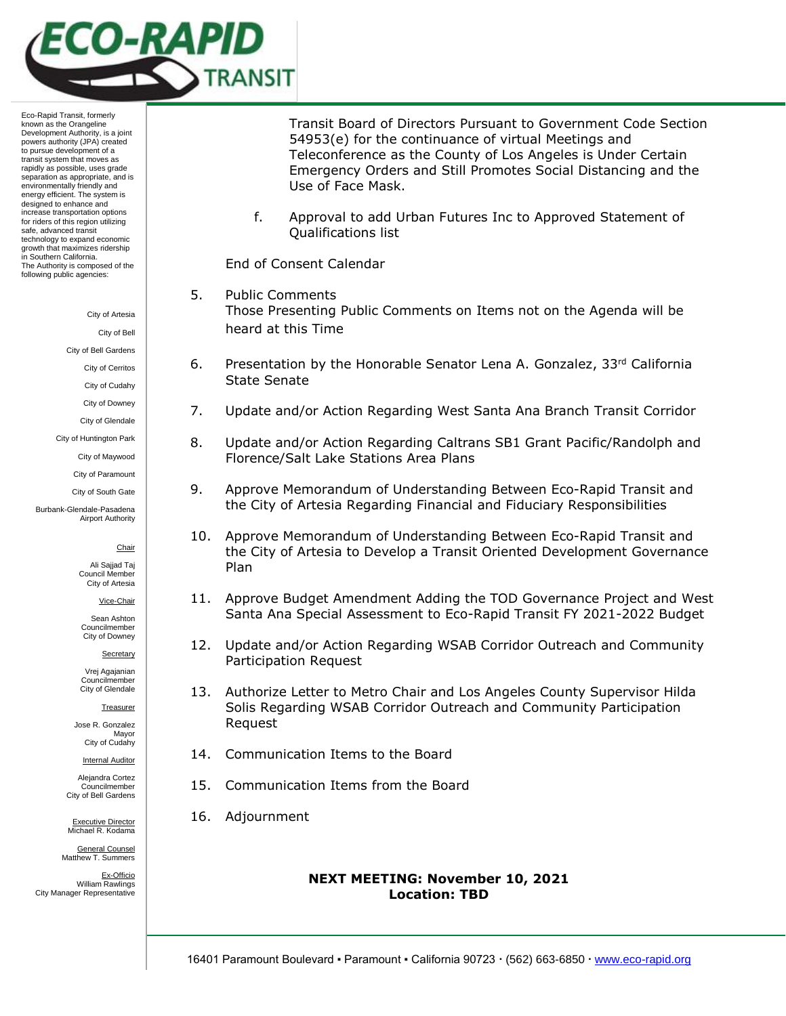

Eco-Rapid Transit, formerly known as the Orangeline Development Authority, is a joint powers authority (JPA) created to pursue development of a transit system that moves as rapidly as possible, uses grade separation as appropriate, and is environmentally friendly and energy efficient. The system is designed to enhance and increase transportation options for riders of this region utilizing safe, advanced transit technology to expand economic growth that maximizes ridership in Southern California. The Authority is composed of the following public agencies:

City of Artesia

City of Bell

City of Bell Gardens

City of Cerritos

City of Cudahy

City of Downey

City of Glendale

City of Huntington Park

City of Maywood

City of Paramount City of South Gate

Burbank-Glendale-Pasadena Airport Authority

**Chair** 

Ali Sajjad Taj Council Member City of Artesia

Vice-Chair

Sean Ashton Councilmember City of Downey

Secretary

Vrej Agajanian Councilmember City of Glendale

**Treasurer** 

Jose R. Gonzalez Mayor City of Cudahy

**Internal Auditor** 

Alejandra Cortez Councilmember City of Bell Gardens

Executive Director Michael R. Kodama

General Counsel Matthew T. Summers

Ex-Officio William Rawlings City Manager Representative

Transit Board of Directors Pursuant to Government Code Section 54953(e) for the continuance of virtual Meetings and Teleconference as the County of Los Angeles is Under Certain Emergency Orders and Still Promotes Social Distancing and the Use of Face Mask.

f. Approval to add Urban Futures Inc to Approved Statement of Qualifications list

End of Consent Calendar

- 5. Public Comments Those Presenting Public Comments on Items not on the Agenda will be heard at this Time
- 6. Presentation by the Honorable Senator Lena A. Gonzalez,  $33<sup>rd</sup>$  California State Senate
- 7. Update and/or Action Regarding West Santa Ana Branch Transit Corridor
- 8. Update and/or Action Regarding Caltrans SB1 Grant Pacific/Randolph and Florence/Salt Lake Stations Area Plans
- 9. Approve Memorandum of Understanding Between Eco-Rapid Transit and the City of Artesia Regarding Financial and Fiduciary Responsibilities
- 10. Approve Memorandum of Understanding Between Eco-Rapid Transit and the City of Artesia to Develop a Transit Oriented Development Governance Plan
- 11. Approve Budget Amendment Adding the TOD Governance Project and West Santa Ana Special Assessment to Eco-Rapid Transit FY 2021-2022 Budget
- 12. Update and/or Action Regarding WSAB Corridor Outreach and Community Participation Request
- 13. Authorize Letter to Metro Chair and Los Angeles County Supervisor Hilda Solis Regarding WSAB Corridor Outreach and Community Participation Request
- 14. Communication Items to the Board
- 15. Communication Items from the Board
- 16. Adjournment

# **NEXT MEETING: November 10, 2021 Location: TBD**